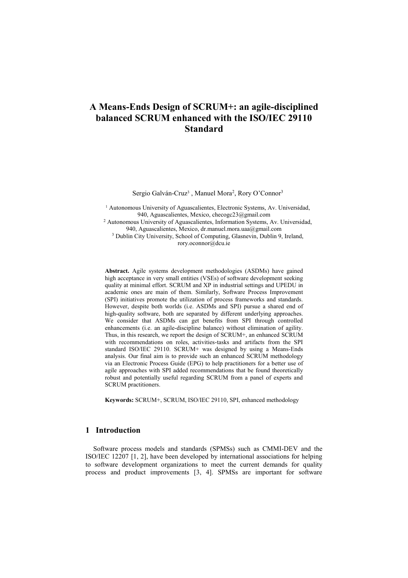# **A Means-Ends Design of SCRUM+: an agile-disciplined balanced SCRUM enhanced with the ISO/IEC 29110 Standard**

Sergio Galván-Cruz<sup>3</sup>, Manuel Mora<sup>2</sup>, Rory O'Connor<sup>3</sup>

<sup>1</sup> Autonomous University of Aguascalientes, Electronic Systems, Av. Universidad, 940, Aguascalientes, Mexico, checogc23@gmail.com

<sup>2</sup> Autonomous University of Aguascalientes, Information Systems, Av. Universidad, 940, Aguascalientes, Mexico, dr.manuel.mora.uaa@gmail.com

<sup>3</sup> Dublin City University, School of Computing, Glasnevin, Dublin 9, Ireland, rory.oconnor@dcu.ie

**Abstract.** Agile systems development methodologies (ASDMs) have gained high acceptance in very small entities (VSEs) of software development seeking quality at minimal effort. SCRUM and XP in industrial settings and UPEDU in academic ones are main of them. Similarly, Software Process Improvement (SPI) initiatives promote the utilization of process frameworks and standards. However, despite both worlds (i.e. ASDMs and SPI) pursue a shared end of high-quality software, both are separated by different underlying approaches. We consider that ASDMs can get benefits from SPI through controlled enhancements (i.e. an agile-discipline balance) without elimination of agility. Thus, in this research, we report the design of SCRUM+, an enhanced SCRUM with recommendations on roles, activities-tasks and artifacts from the SPI standard ISO/IEC 29110. SCRUM+ was designed by using a Means-Ends analysis. Our final aim is to provide such an enhanced SCRUM methodology via an Electronic Process Guide (EPG) to help practitioners for a better use of agile approaches with SPI added recommendations that be found theoretically robust and potentially useful regarding SCRUM from a panel of experts and SCRUM practitioners.

**Keywords:** SCRUM+, SCRUM, ISO/IEC 29110, SPI, enhanced methodology

## **1 Introduction**

Software process models and standards (SPMSs) such as CMMI-DEV and the ISO/IEC 12207 [1, 2], have been developed by international associations for helping to software development organizations to meet the current demands for quality process and product improvements [3, 4]. SPMSs are important for software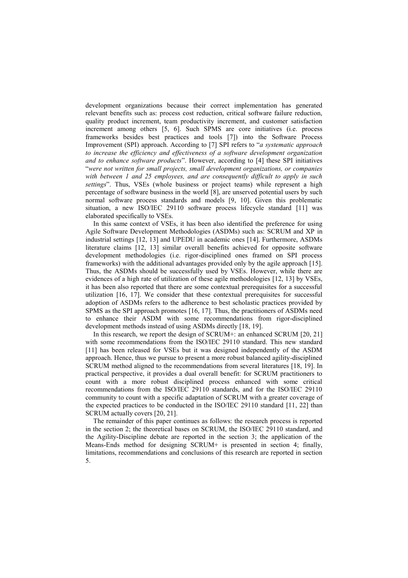development organizations because their correct implementation has generated relevant benefits such as: process cost reduction, critical software failure reduction, quality product increment, team productivity increment, and customer satisfaction increment among others [5, 6]. Such SPMS are core initiatives (i.e. process frameworks besides best practices and tools [7]) into the Software Process Improvement (SPI) approach. According to [7] SPI refers to "*a systematic approach*  to increase the efficiency and effectiveness of a software development organization *and to enhance software products*". However, according to [4] these SPI initiatives "*were not written for small projects, small development organizations, or companies with between 1 and 25 employees, and are consequently difficult to apply in such settings*". Thus, VSEs (whole business or project teams) while represent a high percentage of software business in the world [8], are unserved potential users by such normal software process standards and models [9, 10]. Given this problematic situation, a new ISO/IEC 29110 software process lifecycle standard [11] was elaborated specifically to VSEs.

In this same context of VSEs, it has been also identified the preference for using Agile Software Development Methodologies (ASDMs) such as: SCRUM and XP in industrial settings [12, 13] and UPEDU in academic ones [14]. Furthermore, ASDMs literature claims [12, 13] similar overall benefits achieved for opposite software development methodologies (i.e. rigor-disciplined ones framed on SPI process frameworks) with the additional advantages provided only by the agile approach [15]. Thus, the ASDMs should be successfully used by VSEs. However, while there are evidences of a high rate of utilization of these agile methodologies [12, 13] by VSEs, it has been also reported that there are some contextual prerequisites for a successful utilization [16, 17]. We consider that these contextual prerequisites for successful adoption of ASDMs refers to the adherence to best scholastic practices provided by SPMS as the SPI approach promotes [16, 17]. Thus, the practitioners of ASDMs need to enhance their ASDM with some recommendations from rigor-disciplined development methods instead of using ASDMs directly [18, 19].

In this research, we report the design of SCRUM+: an enhanced SCRUM [20, 21] with some recommendations from the ISO/IEC 29110 standard. This new standard [11] has been released for VSEs but it was designed independently of the ASDM approach. Hence, thus we pursue to present a more robust balanced agility-disciplined SCRUM method aligned to the recommendations from several literatures [18, 19]. In practical perspective, it provides a dual overall benefit: for SCRUM practitioners to count with a more robust disciplined process enhanced with some critical recommendations from the ISO/IEC 29110 standards, and for the ISO/IEC 29110 community to count with a specific adaptation of SCRUM with a greater coverage of the expected practices to be conducted in the ISO/IEC 29110 standard [11, 22] than SCRUM actually covers [20, 21].

The remainder of this paper continues as follows: the research process is reported in the section 2; the theoretical bases on SCRUM, the ISO/IEC 29110 standard, and the Agility-Discipline debate are reported in the section 3; the application of the Means-Ends method for designing SCRUM+ is presented in section 4; finally, limitations, recommendations and conclusions of this research are reported in section 5.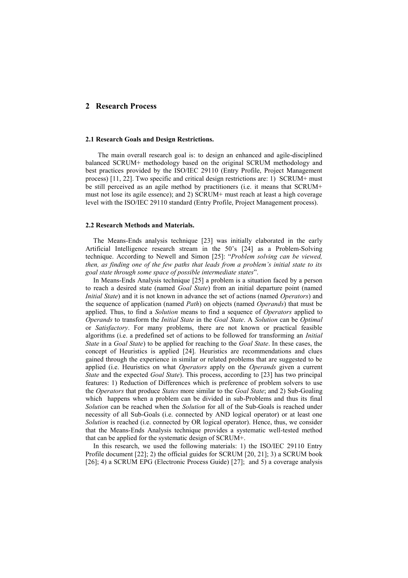# **2 Research Process**

## **2.1 Research Goals and Design Restrictions.**

The main overall research goal is: to design an enhanced and agile-disciplined balanced SCRUM+ methodology based on the original SCRUM methodology and best practices provided by the ISO/IEC 29110 (Entry Profile, Project Management process) [11, 22]. Two specific and critical design restrictions are: 1) SCRUM+ must be still perceived as an agile method by practitioners (i.e. it means that SCRUM+ must not lose its agile essence); and 2) SCRUM+ must reach at least a high coverage level with the ISO/IEC 29110 standard (Entry Profile, Project Management process).

#### **2.2 Research Methods and Materials.**

The Means-Ends analysis technique [23] was initially elaborated in the early Artificial Intelligence research stream in the 50's [24] as a Problem-Solving technique. According to Newell and Simon [25]: "*Problem solving can be viewed, then, as finding one of the few paths that leads from a problem's initial state to its goal state through some space of possible intermediate states*".

In Means-Ends Analysis technique [25] a problem is a situation faced by a person to reach a desired state (named *Goal State*) from an initial departure point (named *Initial State*) and it is not known in advance the set of actions (named *Operators*) and the sequence of application (named *Path*) on objects (named *Operands*) that must be applied. Thus, to find a *Solution* means to find a sequence of *Operators* applied to *Operands* to transform the *Initial State* in the *Goal State*. A *Solution* can be *Optimal* or *Satisfactory*. For many problems, there are not known or practical feasible algorithms (i.e. a predefined set of actions to be followed for transforming an *Initial State* in a *Goal State*) to be applied for reaching to the *Goal State*. In these cases, the concept of Heuristics is applied [24]. Heuristics are recommendations and clues gained through the experience in similar or related problems that are suggested to be applied (i.e. Heuristics on what *Operators* apply on the *Operands* given a current *State* and the expected *Goal State*). This process, according to [23] has two principal features: 1) Reduction of Differences which is preference of problem solvers to use the *Operators* that produce *States* more similar to the *Goal State*; and 2) Sub-Goaling which happens when a problem can be divided in sub-Problems and thus its final *Solution* can be reached when the *Solution* for all of the Sub-Goals is reached under necessity of all Sub-Goals (i.e. connected by AND logical operator) or at least one *Solution* is reached (i.e. connected by OR logical operator). Hence, thus, we consider that the Means-Ends Analysis technique provides a systematic well-tested method that can be applied for the systematic design of SCRUM+.

In this research, we used the following materials: 1) the ISO/IEC 29110 Entry Profile document [22]; 2) the official guides for SCRUM [20, 21]; 3) a SCRUM book [26]; 4) a SCRUM EPG (Electronic Process Guide) [27]; and 5) a coverage analysis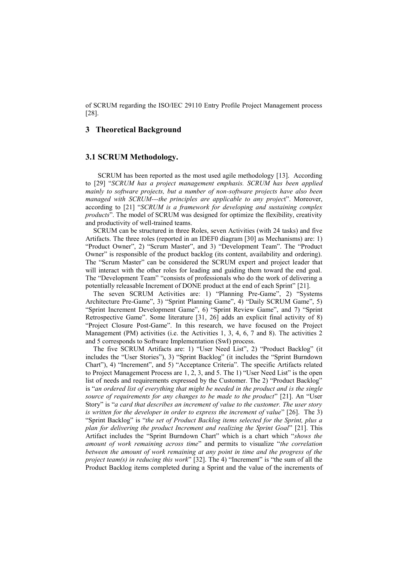of SCRUM regarding the ISO/IEC 29110 Entry Profile Project Management process [28].

# **3 Theoretical Background**

# **3.1 SCRUM Methodology.**

SCRUM has been reported as the most used agile methodology [13]. According to [29] "*SCRUM has a project management emphasis. SCRUM has been applied mainly to software projects, but a number of non-software projects have also been managed with SCRUM---the principles are applicable to any projec*t". Moreover, according to [21] "*SCRUM is a framework for developing and sustaining complex products*". The model of SCRUM was designed for optimize the flexibility, creativity and productivity of well-trained teams.

SCRUM can be structured in three Roles, seven Activities (with 24 tasks) and five Artifacts. The three roles (reported in an IDEF0 diagram [30] as Mechanisms) are: 1) "Product Owner", 2) "Scrum Master", and 3) "Development Team". The "Product Owner" is responsible of the product backlog (its content, availability and ordering). The "Scrum Master" can be considered the SCRUM expert and project leader that will interact with the other roles for leading and guiding them toward the end goal. The "Development Team" "consists of professionals who do the work of delivering a potentially releasable Increment of DONE product at the end of each Sprint" [21].

The seven SCRUM Activities are: 1) "Planning Pre-Game", 2) "Systems Architecture Pre-Game", 3) "Sprint Planning Game", 4) "Daily SCRUM Game", 5) "Sprint Increment Development Game", 6) "Sprint Review Game", and 7) "Sprint Retrospective Game". Some literature [31, 26] adds an explicit final activity of 8) "Project Closure Post-Game". In this research, we have focused on the Project Management (PM) activities (i.e. the Activities 1, 3, 4, 6, 7 and 8). The activities 2 and 5 corresponds to Software Implementation (SwI) process.

The five SCRUM Artifacts are: 1) "User Need List", 2) "Product Backlog" (it includes the "User Stories"), 3) "Sprint Backlog" (it includes the "Sprint Burndown Chart"), 4) "Increment", and 5) "Acceptance Criteria". The specific Artifacts related to Project Management Process are 1, 2, 3, and 5. The 1) "User Need List" is the open list of needs and requirements expressed by the Customer. The 2) "Product Backlog" is "*an ordered list of everything that might be needed in the product and is the single source of requirements for any changes to be made to the product*" [21]. An "User Story" is "*a card that describes an increment of value to the customer. The user story is written for the developer in order to express the increment of value*" [26]. The 3) "Sprint Backlog" is "*the set of Product Backlog items selected for the Sprint, plus a plan for delivering the product Increment and realizing the Sprint Goal*" [21]. This Artifact includes the "Sprint Burndown Chart" which is a chart which "*shows the amount of work remaining across time*" and permits to visualize "*the correlation*  between the amount of work remaining at any point in time and the progress of the *project team(s) in reducing this work*" [32]. The 4) "Increment" is "the sum of all the Product Backlog items completed during a Sprint and the value of the increments of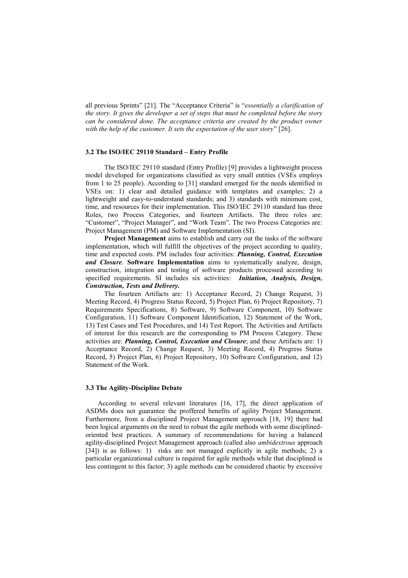all previous Sprints" [21]. The "Acceptance Criteria" is "*essentially a clarification of the story. It gives the developer a set of steps that must be completed before the story can be considered done. The acceptance criteria are created by the product owner with the help of the customer. It sets the expectation of the user story*" [26].

#### **3.2 The ISO/IEC 29110 Standard – Entry Profile**

The ISO/IEC 29110 standard (Entry Profile) [9] provides a lightweight process model developed for organizations classified as very small entities (VSEs employs from 1 to 25 people). According to [31] standard emerged for the needs identified in VSEs on: 1) clear and detailed guidance with templates and examples; 2) a lightweight and easy-to-understand standards; and 3) standards with minimum cost, time, and resources for their implementation. This ISO/IEC 29110 standard has three Roles, two Process Categories, and fourteen Artifacts. The three roles are: "Customer", "Project Manager", and "Work Team". The two Process Categories are: Project Management (PM) and Software Implementation (SI).

**Project Management** aims to establish and carry out the tasks of the software implementation, which will fulfill the objectives of the project according to quality, time and expected costs. PM includes four activities: *Planning, Control, Execution and Closure*. **Software Implementation** aims to systematically analyze, design, construction, integration and testing of software products processed according to specified requirements. SI includes six activities: *Initiation, Analysis, Design, Construction, Tests and Delivery.*

The fourteen Artifacts are: 1) Acceptance Record, 2) Change Request, 3) Meeting Record, 4) Progress Status Record, 5) Project Plan, 6) Project Repository, 7) Requirements Specifications, 8) Software, 9) Software Component, 10) Software Configuration, 11) Software Component Identification, 12) Statement of the Work, 13) Test Cases and Test Procedures, and 14) Test Report. The Activities and Artifacts of interest for this research are the corresponding to PM Process Category. These activities are: *Planning, Control, Execution and Closure*; and these Artifacts are: 1) Acceptance Record, 2) Change Request, 3) Meeting Record, 4) Progress Status Record, 5) Project Plan, 6) Project Repository, 10) Software Configuration, and 12) Statement of the Work.

## **3.3 The Agility-Discipline Debate**

According to several relevant literatures [16, 17], the direct application of ASDMs does not guarantee the proffered benefits of agility Project Management. Furthermore, from a disciplined Project Management approach [18, 19] there had been logical arguments on the need to robust the agile methods with some disciplinedoriented best practices. A summary of recommendations for having a balanced agility-disciplined Project Management approach (called also *ambidextrous* approach [34]) is as follows: 1) risks are not managed explicitly in agile methods; 2) a particular organizational culture is required for agile methods while that disciplined is less contingent to this factor; 3) agile methods can be considered chaotic by excessive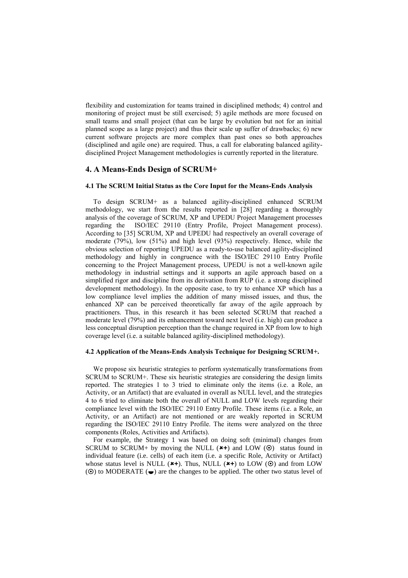flexibility and customization for teams trained in disciplined methods; 4) control and monitoring of project must be still exercised; 5) agile methods are more focused on small teams and small project (that can be large by evolution but not for an initial planned scope as a large project) and thus their scale up suffer of drawbacks; 6) new current software projects are more complex than past ones so both approaches (disciplined and agile one) are required. Thus, a call for elaborating balanced agilitydisciplined Project Management methodologies is currently reported in the literature.

## **4. A Means-Ends Design of SCRUM+**

#### **4.1 The SCRUM Initial Status as the Core Input for the Means-Ends Analysis**

To design SCRUM+ as a balanced agility-disciplined enhanced SCRUM methodology, we start from the results reported in [28] regarding a thoroughly analysis of the coverage of SCRUM, XP and UPEDU Project Management processes regarding the ISO/IEC 29110 (Entry Profile, Project Management process). According to [35] SCRUM, XP and UPEDU had respectively an overall coverage of moderate (79%), low (51%) and high level (93%) respectively. Hence, while the obvious selection of reporting UPEDU as a ready-to-use balanced agility-disciplined methodology and highly in congruence with the ISO/IEC 29110 Entry Profile concerning to the Project Management process, UPEDU is not a well-known agile methodology in industrial settings and it supports an agile approach based on a simplified rigor and discipline from its derivation from RUP (i.e. a strong disciplined development methodology). In the opposite case, to try to enhance XP which has a low compliance level implies the addition of many missed issues, and thus, the enhanced XP can be perceived theoretically far away of the agile approach by practitioners. Thus, in this research it has been selected SCRUM that reached a moderate level (79%) and its enhancement toward next level (i.e. high) can produce a less conceptual disruption perception than the change required in XP from low to high coverage level (i.e. a suitable balanced agility-disciplined methodology).

### **4.2 Application of the Means-Ends Analysis Technique for Designing SCRUM+.**

We propose six heuristic strategies to perform systematically transformations from SCRUM to SCRUM+. These six heuristic strategies are considering the design limits reported. The strategies 1 to 3 tried to eliminate only the items (i.e. a Role, an Activity, or an Artifact) that are evaluated in overall as NULL level, and the strategies 4 to 6 tried to eliminate both the overall of NULL and LOW levels regarding their compliance level with the ISO/IEC 29110 Entry Profile. These items (i.e. a Role, an Activity, or an Artifact) are not mentioned or are weakly reported in SCRUM regarding the ISO/IEC 29110 Entry Profile. The items were analyzed on the three components (Roles, Activities and Artifacts).

For example, the Strategy 1 was based on doing soft (minimal) changes from SCRUM to SCRUM+ by moving the NULL  $(*+)$  and LOW  $(\odot)$  status found in individual feature (i.e. cells) of each item (i.e. a specific Role, Activity or Artifact) whose status level is NULL  $(*+)$ . Thus, NULL  $(*+)$  to LOW  $(\odot)$  and from LOW  $(\odot)$  to MODERATE  $(\bullet)$  are the changes to be applied. The other two status level of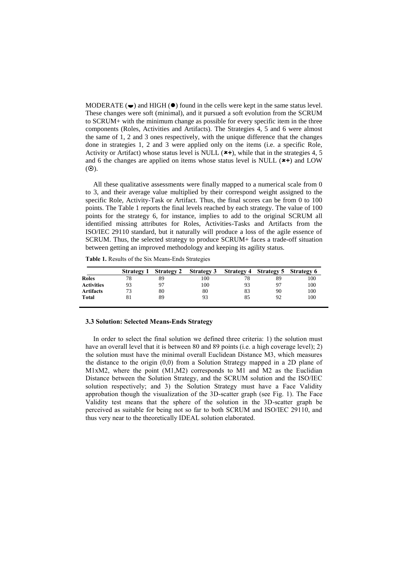MODERATE  $(\bullet)$  and HIGH  $(\bullet)$  found in the cells were kept in the same status level. These changes were soft (minimal), and it pursued a soft evolution from the SCRUM to SCRUM+ with the minimum change as possible for every specific item in the three components (Roles, Activities and Artifacts). The Strategies 4, 5 and 6 were almost the same of 1, 2 and 3 ones respectively, with the unique difference that the changes done in strategies 1, 2 and 3 were applied only on the items (i.e. a specific Role, Activity or Artifact) whose status level is NULL ( $\star$ +), while that in the strategies 4, 5 and 6 the changes are applied on items whose status level is NULL (**+**) and LOW  $(\odot)$ .

All these qualitative assessments were finally mapped to a numerical scale from 0 to 3, and their average value multiplied by their correspond weight assigned to the specific Role, Activity-Task or Artifact. Thus, the final scores can be from 0 to 100 points. The Table 1 reports the final levels reached by each strategy. The value of 100 points for the strategy 6, for instance, implies to add to the original SCRUM all identified missing attributes for Roles, Activities-Tasks and Artifacts from the ISO/IEC 29110 standard, but it naturally will produce a loss of the agile essence of SCRUM. Thus, the selected strategy to produce SCRUM+ faces a trade-off situation between getting an improved methodology and keeping its agility status.

**Table 1.** Results of the Six Means-Ends Strategies

|                   | <b>Strategy 1</b> | <b>Strategy 2</b> | <b>Strategy 3</b> |    | Strategy 4 Strategy 5 Strategy 6 |     |
|-------------------|-------------------|-------------------|-------------------|----|----------------------------------|-----|
| <b>Roles</b>      | 78                | 89                | 100               | 78 | 89                               | 100 |
| <b>Activities</b> | 93                |                   | 100               | 93 | 97                               | 100 |
| <b>Artifacts</b>  |                   | 80                | 80                | 83 | 90                               | 100 |
| <b>Total</b>      |                   | 89                | 93                | 85 | 92                               | 100 |

#### **3.3 Solution: Selected Means-Ends Strategy**

In order to select the final solution we defined three criteria: 1) the solution must have an overall level that it is between 80 and 89 points (i.e. a high coverage level); 2) the solution must have the minimal overall Euclidean Distance M3, which measures the distance to the origin (0,0) from a Solution Strategy mapped in a 2D plane of M1xM2, where the point (M1,M2) corresponds to M1 and M2 as the Euclidian Distance between the Solution Strategy, and the SCRUM solution and the ISO/IEC solution respectively; and 3) the Solution Strategy must have a Face Validity approbation though the visualization of the 3D-scatter graph (see Fig. 1). The Face Validity test means that the sphere of the solution in the 3D-scatter graph be perceived as suitable for being not so far to both SCRUM and ISO/IEC 29110, and thus very near to the theoretically IDEAL solution elaborated.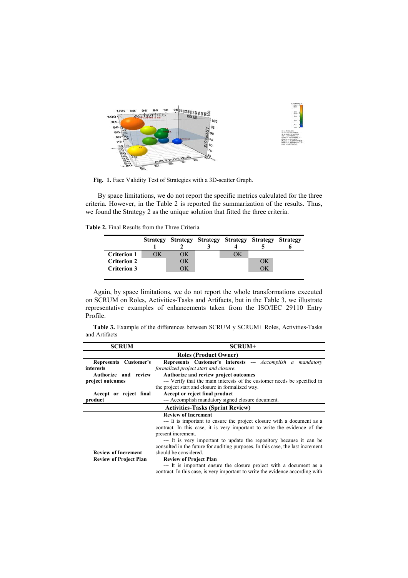

**Fig. 1.** Face Validity Test of Strategies with a 3D-scatter Graph.

By space limitations, we do not report the specific metrics calculated for the three criteria. However, in the Table 2 is reported the summarization of the results. Thus, we found the Strategy 2 as the unique solution that fitted the three criteria.

**Table 2.** Final Results from the Three Criteria

|                    |    |    | Strategy Strategy Strategy Strategy Strategy Strategy |    |  |
|--------------------|----|----|-------------------------------------------------------|----|--|
|                    |    |    |                                                       |    |  |
| <b>Criterion 1</b> | ЭK | ОK | ЭK                                                    |    |  |
| <b>Criterion 2</b> |    | ОK |                                                       | OК |  |
| <b>Criterion 3</b> |    | ЭK |                                                       | ЭK |  |
|                    |    |    |                                                       |    |  |

Again, by space limitations, we do not report the whole transformations executed on SCRUM on Roles, Activities-Tasks and Artifacts, but in the Table 3, we illustrate representative examples of enhancements taken from the ISO/IEC 29110 Entry Profile.

|               |  |  |  | Table 3. Example of the differences between SCRUM y SCRUM+ Roles, Activities-Tasks |  |
|---------------|--|--|--|------------------------------------------------------------------------------------|--|
| and Artifacts |  |  |  |                                                                                    |  |

| <b>SCRUM</b>                  | SCRUM+                                                                          |
|-------------------------------|---------------------------------------------------------------------------------|
|                               | <b>Roles (Product Owner)</b>                                                    |
| Represents Customer's         | <b>Represents Customer's interests ---</b> Accomplish a mandatory               |
| interests                     | formalized project start and closure.                                           |
| Authorize and review          | Authorize and review project outcomes                                           |
| project outcomes              | --- Verify that the main interests of the customer needs be specified in        |
|                               | the project start and closure in formalized way.                                |
| Accept or reject final        | Accept or reject final product                                                  |
| product                       | --- Accomplish mandatory signed closure document.                               |
|                               | <b>Activities-Tasks (Sprint Review)</b>                                         |
|                               | <b>Review of Increment</b>                                                      |
|                               | --- It is important to ensure the project closure with a document as a          |
|                               | contract. In this case, it is very important to write the evidence of the       |
|                               | present increment.                                                              |
|                               | --- It is very important to update the repository because it can be             |
|                               | consulted in the future for auditing purposes. In this case, the last increment |
| <b>Review of Increment</b>    | should be considered.                                                           |
| <b>Review of Project Plan</b> | <b>Review of Project Plan</b>                                                   |
|                               | --- It is important ensure the closure project with a document as a             |
|                               | contract. In this case, is very important to write the evidence according with  |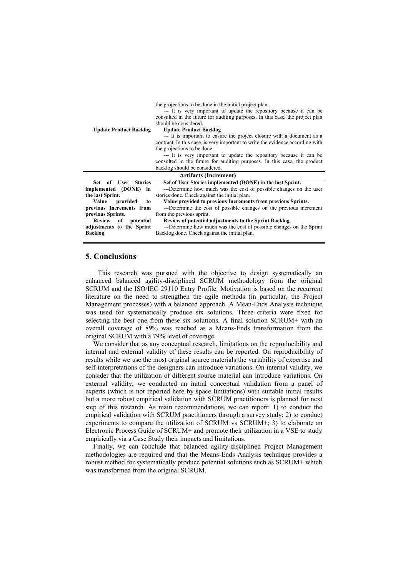the projections to be done in the initial project plan.

|                               | --- It is very important to update the repository because it can be            |
|-------------------------------|--------------------------------------------------------------------------------|
|                               | consulted in the future for auditing purposes. In this case, the project plan  |
|                               | should be considered.                                                          |
| <b>Update Product Backlog</b> | <b>Update Product Backlog</b>                                                  |
|                               | --- It is important to ensure the project closure with a document as a         |
|                               | contract. In this case, is very important to write the evidence according with |
|                               | the projections to be done.                                                    |
|                               | --- It is very important to update the repository because it can be            |
|                               | consulted in the future for auditing purposes. In this case, the product       |
|                               | backlog should be considered.                                                  |
|                               |                                                                                |
|                               |                                                                                |
|                               | <b>Artifacts (Increment)</b>                                                   |
| Set of User Stories           | Set of User Stories implemented (DONE) in the last Sprint.                     |
| implemented (DONE) in         | ---Determine how much was the cost of possible changes on the user             |
| the last Sprint.              | stories done. Check against the initial plan.                                  |
| Value<br>provided<br>to       | Value provided to previous Increments from previous Sprints.                   |
| previous Increments from      | ---Determine the cost of possible changes on the previous increment            |
| previous Sprints.             | from the previous sprint.                                                      |
| Review of potential           | Review of potential adjustments to the Sprint Backlog                          |
| adjustments to the Sprint     | ---Determine how much was the cost of possible changes on the Sprint           |
| <b>Backlog</b>                | Backlog done. Check against the initial plan.                                  |

# **5. Conclusions**

This research was pursued with the objective to design systematically an enhanced balanced agility-disciplined SCRUM methodology from the original SCRUM and the ISO/IEC 29110 Entry Profile. Motivation is based on the recurrent literature on the need to strengthen the agile methods (in particular, the Project Management processes) with a balanced approach. A Mean-Ends Analysis technique was used for systematically produce six solutions. Three criteria were fixed for selecting the best one from these six solutions. A final solution SCRUM+ with an overall coverage of 89% was reached as a Means-Ends transformation from the original SCRUM with a 79% level of coverage.

We consider that as any conceptual research, limitations on the reproducibility and internal and external validity of these results can be reported. On reproducibility of results while we use the most original source materials the variability of expertise and self-interpretations of the designers can introduce variations. On internal validity, we consider that the utilization of different source material can introduce variations. On external validity, we conducted an initial conceptual validation from a panel of experts (which is not reported here by space limitations) with suitable initial results but a more robust empirical validation with SCRUM practitioners is planned for next step of this research. As main recommendations, we can report: 1) to conduct the empirical validation with SCRUM practitioners through a survey study; 2) to conduct experiments to compare the utilization of SCRUM vs SCRUM+; 3) to elaborate an Electronic Process Guide of SCRUM+ and promote their utilization in a VSE to study empirically via a Case Study their impacts and limitations.

Finally, we can conclude that balanced agility-disciplined Project Management methodologies are required and that the Means-Ends Analysis technique provides a robust method for systematically produce potential solutions such as SCRUM+ which was transformed from the original SCRUM.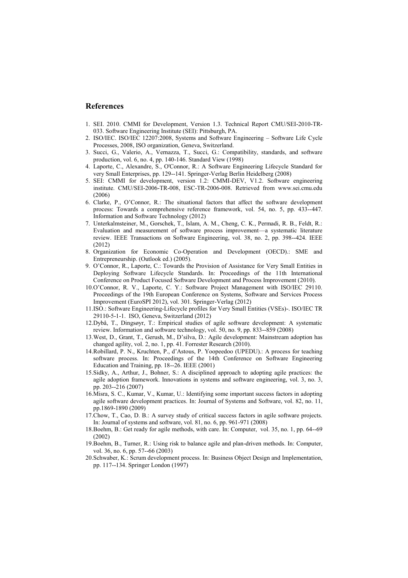# **References**

- 1. SEI. 2010. CMMI for Development, Version 1.3. Technical Report CMU/SEI-2010-TR-033. Software Engineering Institute (SEI): Pittsburgh, PA.
- 2. ISO/IEC. ISO/IEC 12207:2008, Systems and Software Engineering Software Life Cycle Processes, 2008, ISO organization, Geneva, Switzerland.
- 3. Succi, G., Valerio, A., Vernazza, T., Succi, G.: Compatibility, standards, and software production, vol. 6, no. 4, pp. 140-146. Standard View (1998)
- 4. Laporte, C., Alexandre, S., O'Connor, R.: A Software Engineering Lifecycle Standard for very Small Enterprises, pp. 129--141. Springer-Verlag Berlin Heidelberg (2008)
- 5. SEI: CMMI for development, version 1.2: CMMI-DEV, V1.2. Software engineering institute. CMU/SEI-2006-TR-008, ESC-TR-2006-008. Retrieved from www.sei.cmu.edu (2006)
- 6. Clarke, P., O'Connor, R.: The situational factors that affect the software development process: Towards a comprehensive reference framework, vol. 54, no. 5, pp. 433--447. Information and Software Technology (2012)
- 7. Unterkalmsteiner, M., Gorschek, T., Islam, A. M., Cheng, C. K., Permadi, R. B., Feldt, R.: Evaluation and measurement of software process improvement—a systematic literature review. IEEE Transactions on Software Engineering, vol. 38, no. 2, pp. 398--424. IEEE (2012)
- 8. Organization for Economic Co-Operation and Development (OECD).: SME and Entrepreneurship. (Outlook ed.) (2005).
- 9. O'Connor, R., Laporte, C.: Towards the Provision of Assistance for Very Small Entities in Deploying Software Lifecycle Standards. In: Proceedings of the 11th International Conference on Product Focused Software Development and Process Improvement (2010).
- 10.O'Connor, R. V., Laporte, C. Y.: Software Project Management with ISO/IEC 29110. Proceedings of the 19th European Conference on Systems, Software and Services Process Improvement (EuroSPI 2012), vol. 301. Springer-Verlag (2012)
- 11.ISO.: Software Engineering-Lifecycle profiles for Very Small Entities (VSEs)-. ISO/IEC TR 29110-5-1-1. ISO, Geneva, Switzerland (2012)
- 12.Dybå, T., Dingsøyr, T.: Empirical studies of agile software development: A systematic review. Information and software technology, vol. 50, no. 9, pp. 833--859 (2008)
- 13.West, D., Grant, T., Gerush, M., D'silva, D.: Agile development: Mainstream adoption has changed agility, vol. 2, no. 1, pp. 41. Forrester Research (2010).
- 14.Robillard, P. N., Kruchten, P., d'Astous, P. Yoopeedoo (UPEDU).: A process for teaching software process. In: Proceedings of the 14th Conference on Software Engineering Education and Training, pp. 18--26. IEEE (2001)
- 15.Sidky, A., Arthur, J., Bohner, S.: A disciplined approach to adopting agile practices: the agile adoption framework. Innovations in systems and software engineering, vol. 3, no. 3, pp. 203--216 (2007)
- 16.Misra, S. C., Kumar, V., Kumar, U.: Identifying some important success factors in adopting agile software development practices. In: Journal of Systems and Software, vol. 82, no. 11, pp.1869-1890 (2009)
- 17.Chow, T., Cao, D. B.: A survey study of critical success factors in agile software projects. In: Journal of systems and software, vol. 81, no. 6, pp. 961-971 (2008)
- 18.Boehm, B.: Get ready for agile methods, with care. In: Computer, vol. 35, no. 1, pp. 64--69 (2002)
- 19.Boehm, B., Turner, R.: Using risk to balance agile and plan-driven methods. In: Computer, vol. 36, no. 6, pp. 57--66 (2003)
- 20.Schwaber, K.: Scrum development process. In: Business Object Design and Implementation, pp. 117--134. Springer London (1997)